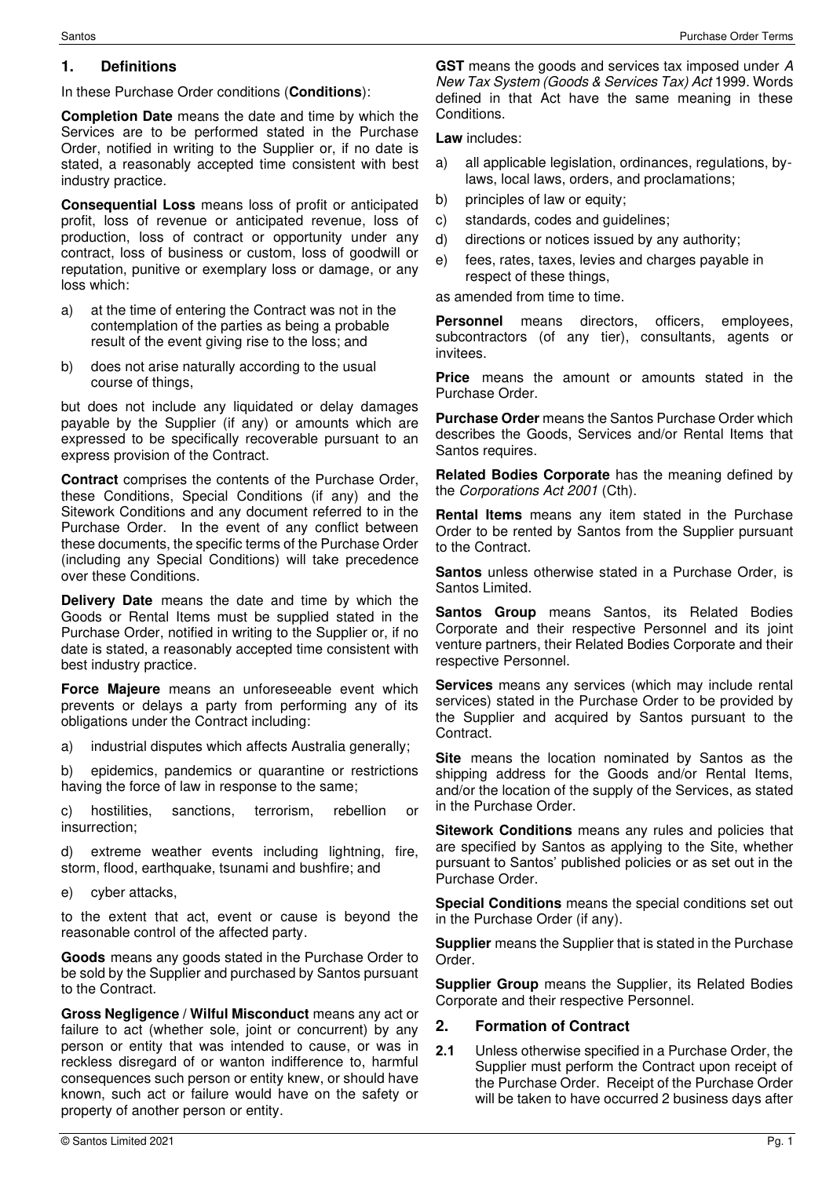#### **1. Definitions**

In these Purchase Order conditions (**Conditions**):

**Completion Date** means the date and time by which the Services are to be performed stated in the Purchase Order, notified in writing to the Supplier or, if no date is stated, a reasonably accepted time consistent with best industry practice.

**Consequential Loss** means loss of profit or anticipated profit, loss of revenue or anticipated revenue, loss of production, loss of contract or opportunity under any contract, loss of business or custom, loss of goodwill or reputation, punitive or exemplary loss or damage, or any loss which:

- a) at the time of entering the Contract was not in the contemplation of the parties as being a probable result of the event giving rise to the loss; and
- b) does not arise naturally according to the usual course of things,

but does not include any liquidated or delay damages payable by the Supplier (if any) or amounts which are expressed to be specifically recoverable pursuant to an express provision of the Contract.

**Contract** comprises the contents of the Purchase Order, these Conditions, Special Conditions (if any) and the Sitework Conditions and any document referred to in the Purchase Order. In the event of any conflict between these documents, the specific terms of the Purchase Order (including any Special Conditions) will take precedence over these Conditions.

**Delivery Date** means the date and time by which the Goods or Rental Items must be supplied stated in the Purchase Order, notified in writing to the Supplier or, if no date is stated, a reasonably accepted time consistent with best industry practice.

**Force Majeure** means an unforeseeable event which prevents or delays a party from performing any of its obligations under the Contract including:

a) industrial disputes which affects Australia generally;

b) epidemics, pandemics or quarantine or restrictions having the force of law in response to the same;

c) hostilities, sanctions, terrorism, rebellion or insurrection;

d) extreme weather events including lightning, fire, storm, flood, earthquake, tsunami and bushfire; and

e) cyber attacks,

to the extent that act, event or cause is beyond the reasonable control of the affected party.

**Goods** means any goods stated in the Purchase Order to be sold by the Supplier and purchased by Santos pursuant to the Contract.

**Gross Negligence / Wilful Misconduct** means any act or failure to act (whether sole, joint or concurrent) by any person or entity that was intended to cause, or was in reckless disregard of or wanton indifference to, harmful consequences such person or entity knew, or should have known, such act or failure would have on the safety or property of another person or entity.

**Law** includes:

- a) all applicable legislation, ordinances, regulations, bylaws, local laws, orders, and proclamations;
- b) principles of law or equity;
- c) standards, codes and guidelines;
- d) directions or notices issued by any authority;
- e) fees, rates, taxes, levies and charges payable in respect of these things,

as amended from time to time.

**Personnel** means directors, officers, employees, subcontractors (of any tier), consultants, agents or invitees.

**Price** means the amount or amounts stated in the Purchase Order.

**Purchase Order** means the Santos Purchase Order which describes the Goods, Services and/or Rental Items that Santos requires.

**Related Bodies Corporate** has the meaning defined by the Corporations Act 2001 (Cth).

**Rental Items** means any item stated in the Purchase Order to be rented by Santos from the Supplier pursuant to the Contract.

**Santos** unless otherwise stated in a Purchase Order, is Santos Limited.

**Santos Group** means Santos, its Related Bodies Corporate and their respective Personnel and its joint venture partners, their Related Bodies Corporate and their respective Personnel.

**Services** means any services (which may include rental services) stated in the Purchase Order to be provided by the Supplier and acquired by Santos pursuant to the Contract.

**Site** means the location nominated by Santos as the shipping address for the Goods and/or Rental Items, and/or the location of the supply of the Services, as stated in the Purchase Order.

**Sitework Conditions** means any rules and policies that are specified by Santos as applying to the Site, whether pursuant to Santos' published policies or as set out in the Purchase Order.

**Special Conditions** means the special conditions set out in the Purchase Order (if any).

**Supplier** means the Supplier that is stated in the Purchase Order.

**Supplier Group** means the Supplier, its Related Bodies Corporate and their respective Personnel.

#### **2. Formation of Contract**

**2.1** Unless otherwise specified in a Purchase Order, the Supplier must perform the Contract upon receipt of the Purchase Order. Receipt of the Purchase Order will be taken to have occurred 2 business days after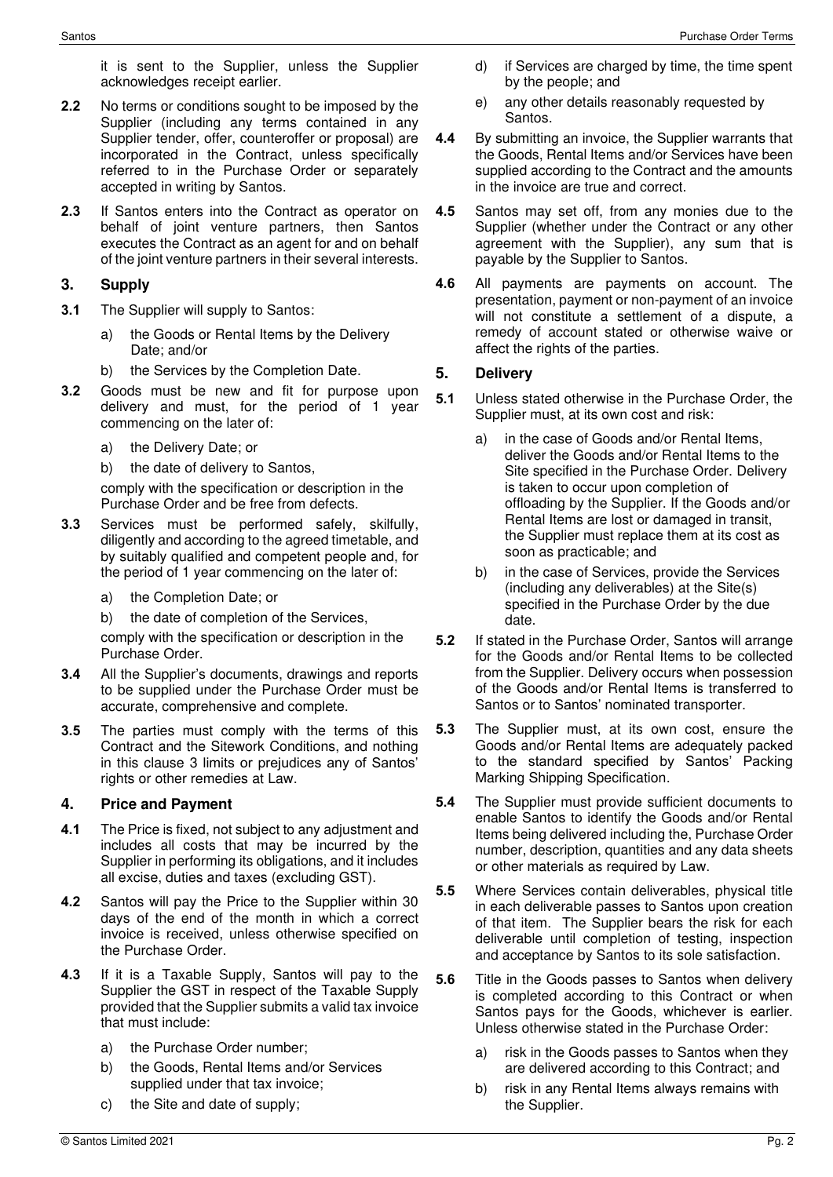it is sent to the Supplier, unless the Supplier acknowledges receipt earlier.

- **2.2** No terms or conditions sought to be imposed by the Supplier (including any terms contained in any Supplier tender, offer, counteroffer or proposal) are incorporated in the Contract, unless specifically referred to in the Purchase Order or separately accepted in writing by Santos.
- **2.3** If Santos enters into the Contract as operator on behalf of joint venture partners, then Santos executes the Contract as an agent for and on behalf of the joint venture partners in their several interests.

## <span id="page-1-0"></span>**3. Supply**

- **3.1** The Supplier will supply to Santos:
	- a) the Goods or Rental Items by the Delivery Date; and/or
	- b) the Services by the Completion Date.
- <span id="page-1-1"></span>**3.2** Goods must be new and fit for purpose upon delivery and must, for the period of 1 year commencing on the later of:
	- a) the Delivery Date; or
	- b) the date of delivery to Santos,

comply with the specification or description in the Purchase Order and be free from defects.

- <span id="page-1-2"></span>**3.3** Services must be performed safely, skilfully, diligently and according to the agreed timetable, and by suitably qualified and competent people and, for the period of 1 year commencing on the later of:
	- a) the Completion Date; or
	- b) the date of completion of the Services,

comply with the specification or description in the Purchase Order.

- **3.4** All the Supplier's documents, drawings and reports to be supplied under the Purchase Order must be accurate, comprehensive and complete.
- **3.5** The parties must comply with the terms of this Contract and the Sitework Conditions, and nothing in this clause [3](#page-1-0) limits or prejudices any of Santos' rights or other remedies at Law.

## **4. Price and Payment**

- **4.1** The Price is fixed, not subject to any adjustment and includes all costs that may be incurred by the Supplier in performing its obligations, and it includes all excise, duties and taxes (excluding GST).
- **4.2** Santos will pay the Price to the Supplier within 30 days of the end of the month in which a correct invoice is received, unless otherwise specified on the Purchase Order.
- **4.3** If it is a Taxable Supply, Santos will pay to the Supplier the GST in respect of the Taxable Supply provided that the Supplier submits a valid tax invoice that must include:
	- a) the Purchase Order number;
	- b) the Goods, Rental Items and/or Services supplied under that tax invoice;
	- c) the Site and date of supply;
- d) if Services are charged by time, the time spent by the people; and
- e) any other details reasonably requested by Santos.
- **4.4** By submitting an invoice, the Supplier warrants that the Goods, Rental Items and/or Services have been supplied according to the Contract and the amounts in the invoice are true and correct.
- **4.5** Santos may set off, from any monies due to the Supplier (whether under the Contract or any other agreement with the Supplier), any sum that is payable by the Supplier to Santos.
- **4.6** All payments are payments on account. The presentation, payment or non-payment of an invoice will not constitute a settlement of a dispute, a remedy of account stated or otherwise waive or affect the rights of the parties.

## **5. Delivery**

- **5.1** Unless stated otherwise in the Purchase Order, the Supplier must, at its own cost and risk:
	- a) in the case of Goods and/or Rental Items, deliver the Goods and/or Rental Items to the Site specified in the Purchase Order. Delivery is taken to occur upon completion of offloading by the Supplier. If the Goods and/or Rental Items are lost or damaged in transit, the Supplier must replace them at its cost as soon as practicable; and
	- b) in the case of Services, provide the Services (including any deliverables) at the Site(s) specified in the Purchase Order by the due date.
- **5.2** If stated in the Purchase Order, Santos will arrange for the Goods and/or Rental Items to be collected from the Supplier. Delivery occurs when possession of the Goods and/or Rental Items is transferred to Santos or to Santos' nominated transporter.
- **5.3** The Supplier must, at its own cost, ensure the Goods and/or Rental Items are adequately packed to the standard specified by Santos' Packing Marking Shipping Specification.
- **5.4** The Supplier must provide sufficient documents to enable Santos to identify the Goods and/or Rental Items being delivered including the, Purchase Order number, description, quantities and any data sheets or other materials as required by Law.
- **5.5** Where Services contain deliverables, physical title in each deliverable passes to Santos upon creation of that item. The Supplier bears the risk for each deliverable until completion of testing, inspection and acceptance by Santos to its sole satisfaction.
- **5.6** Title in the Goods passes to Santos when delivery is completed according to this Contract or when Santos pays for the Goods, whichever is earlier. Unless otherwise stated in the Purchase Order:
	- a) risk in the Goods passes to Santos when they are delivered according to this Contract; and
	- b) risk in any Rental Items always remains with the Supplier.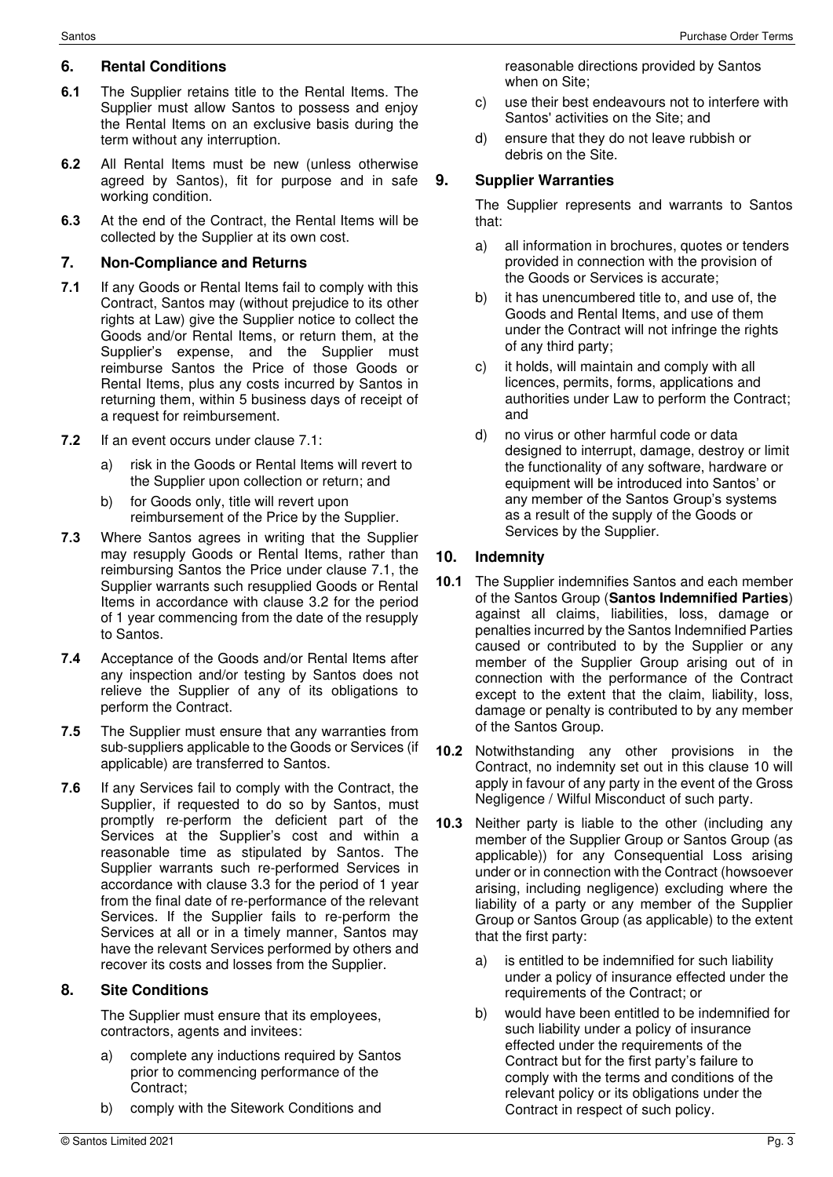# **6. Rental Conditions**

- **6.1** The Supplier retains title to the Rental Items. The Supplier must allow Santos to possess and enjoy the Rental Items on an exclusive basis during the term without any interruption.
- **6.2** All Rental Items must be new (unless otherwise agreed by Santos), fit for purpose and in safe working condition.
- **6.3** At the end of the Contract, the Rental Items will be collected by the Supplier at its own cost.

# **7. Non-Compliance and Returns**

- <span id="page-2-0"></span>**7.1** If any Goods or Rental Items fail to comply with this Contract, Santos may (without prejudice to its other rights at Law) give the Supplier notice to collect the Goods and/or Rental Items, or return them, at the Supplier's expense, and the Supplier must reimburse Santos the Price of those Goods or Rental Items, plus any costs incurred by Santos in returning them, within 5 business days of receipt of a request for reimbursement.
- **7.2** If an event occurs under clause [7.1:](#page-2-0)
	- a) risk in the Goods or Rental Items will revert to the Supplier upon collection or return; and
	- b) for Goods only, title will revert upon reimbursement of the Price by the Supplier.
- **7.3** Where Santos agrees in writing that the Supplier may resupply Goods or Rental Items, rather than reimbursing Santos the Price under clause [7.1,](#page-2-0) the Supplier warrants such resupplied Goods or Rental Items in accordance with clause [3.2](#page-1-1) for the period of 1 year commencing from the date of the resupply to Santos.
- **7.4** Acceptance of the Goods and/or Rental Items after any inspection and/or testing by Santos does not relieve the Supplier of any of its obligations to perform the Contract.
- **7.5** The Supplier must ensure that any warranties from sub-suppliers applicable to the Goods or Services (if applicable) are transferred to Santos.
- **7.6** If any Services fail to comply with the Contract, the Supplier, if requested to do so by Santos, must promptly re-perform the deficient part of the Services at the Supplier's cost and within a reasonable time as stipulated by Santos. The Supplier warrants such re-performed Services in accordance with clause [3.3](#page-1-2) for the period of 1 year from the final date of re-performance of the relevant Services. If the Supplier fails to re-perform the Services at all or in a timely manner, Santos may have the relevant Services performed by others and recover its costs and losses from the Supplier.

## **8. Site Conditions**

The Supplier must ensure that its employees, contractors, agents and invitees:

- a) complete any inductions required by Santos prior to commencing performance of the Contract;
- b) comply with the Sitework Conditions and

reasonable directions provided by Santos when on Site;

- c) use their best endeavours not to interfere with Santos' activities on the Site; and
- d) ensure that they do not leave rubbish or debris on the Site.

# **9. Supplier Warranties**

The Supplier represents and warrants to Santos that:

- a) all information in brochures, quotes or tenders provided in connection with the provision of the Goods or Services is accurate;
- b) it has unencumbered title to, and use of, the Goods and Rental Items, and use of them under the Contract will not infringe the rights of any third party;
- c) it holds, will maintain and comply with all licences, permits, forms, applications and authorities under Law to perform the Contract; and
- d) no virus or other harmful code or data designed to interrupt, damage, destroy or limit the functionality of any software, hardware or equipment will be introduced into Santos' or any member of the Santos Group's systems as a result of the supply of the Goods or Services by the Supplier.

# <span id="page-2-1"></span>**10. Indemnity**

- **10.1** The Supplier indemnifies Santos and each member of the Santos Group (**Santos Indemnified Parties**) against all claims, liabilities, loss, damage or penalties incurred by the Santos Indemnified Parties caused or contributed to by the Supplier or any member of the Supplier Group arising out of in connection with the performance of the Contract except to the extent that the claim, liability, loss, damage or penalty is contributed to by any member of the Santos Group.
- **10.2** Notwithstanding any other provisions in the Contract, no indemnity set out in this clause 10 will apply in favour of any party in the event of the Gross Negligence / Wilful Misconduct of such party.
- **10.3** Neither party is liable to the other (including any member of the Supplier Group or Santos Group (as applicable)) for any Consequential Loss arising under or in connection with the Contract (howsoever arising, including negligence) excluding where the liability of a party or any member of the Supplier Group or Santos Group (as applicable) to the extent that the first party:
	- a) is entitled to be indemnified for such liability under a policy of insurance effected under the requirements of the Contract; or
	- b) would have been entitled to be indemnified for such liability under a policy of insurance effected under the requirements of the Contract but for the first party's failure to comply with the terms and conditions of the relevant policy or its obligations under the Contract in respect of such policy.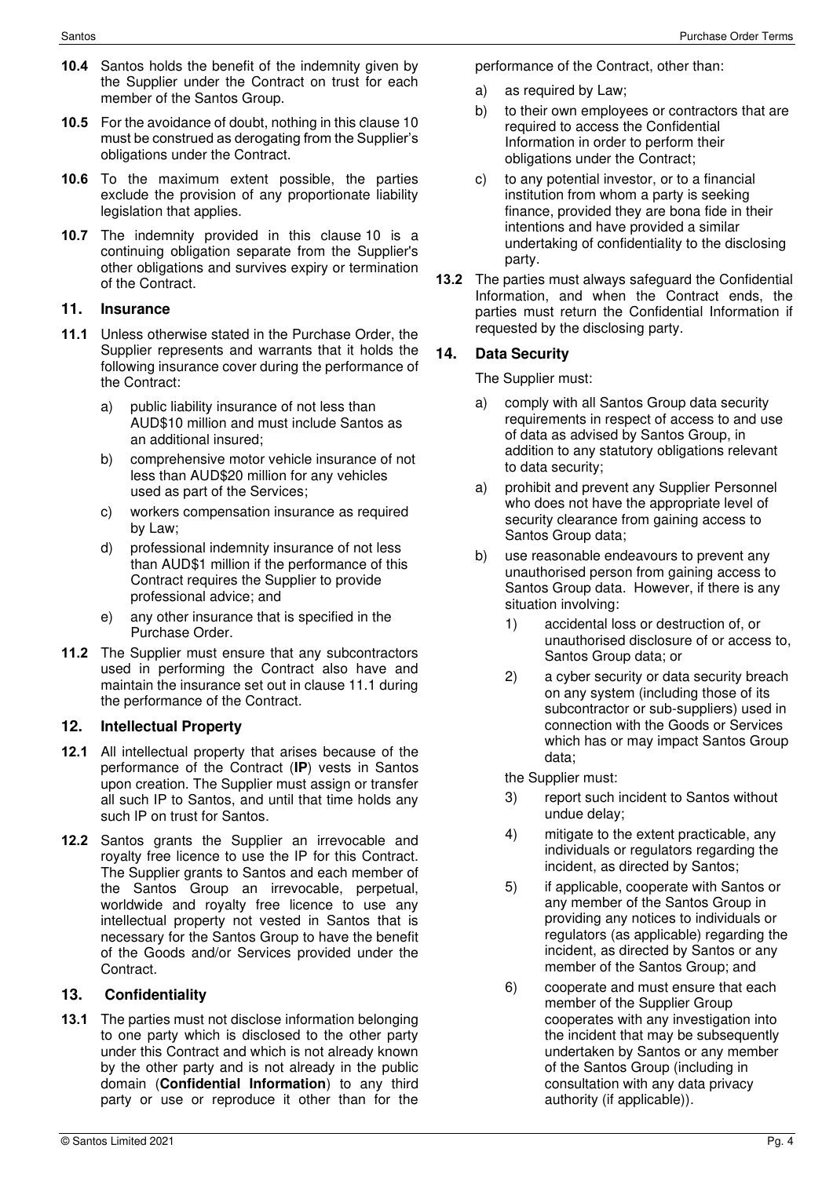- **10.4** Santos holds the benefit of the indemnity given by the Supplier under the Contract on trust for each member of the Santos Group.
- **10.5** For the avoidance of doubt, nothing in this clause 10 must be construed as derogating from the Supplier's obligations under the Contract.
- **10.6** To the maximum extent possible, the parties exclude the provision of any proportionate liability legislation that applies.
- **10.7** The indemnity provided in this clause [10](#page-2-1) is a continuing obligation separate from the Supplier's other obligations and survives expiry or termination of the Contract.

#### **11. Insurance**

- **11.1** Unless otherwise stated in the Purchase Order, the Supplier represents and warrants that it holds the following insurance cover during the performance of the Contract:
	- a) public liability insurance of not less than AUD\$10 million and must include Santos as an additional insured;
	- b) comprehensive motor vehicle insurance of not less than AUD\$20 million for any vehicles used as part of the Services;
	- c) workers compensation insurance as required by Law;
	- d) professional indemnity insurance of not less than AUD\$1 million if the performance of this Contract requires the Supplier to provide professional advice; and
	- e) any other insurance that is specified in the Purchase Order.
- **11.2** The Supplier must ensure that any subcontractors used in performing the Contract also have and maintain the insurance set out in clause 11.1 during the performance of the Contract.

#### **12. Intellectual Property**

- **12.1** All intellectual property that arises because of the performance of the Contract (**IP**) vests in Santos upon creation. The Supplier must assign or transfer all such IP to Santos, and until that time holds any such IP on trust for Santos.
- **12.2** Santos grants the Supplier an irrevocable and royalty free licence to use the IP for this Contract. The Supplier grants to Santos and each member of the Santos Group an irrevocable, perpetual, worldwide and royalty free licence to use any intellectual property not vested in Santos that is necessary for the Santos Group to have the benefit of the Goods and/or Services provided under the Contract.

## **13. Confidentiality**

**13.1** The parties must not disclose information belonging to one party which is disclosed to the other party under this Contract and which is not already known by the other party and is not already in the public domain (**Confidential Information**) to any third party or use or reproduce it other than for the performance of the Contract, other than:

- a) as required by Law;
- b) to their own employees or contractors that are required to access the Confidential Information in order to perform their obligations under the Contract;
- c) to any potential investor, or to a financial institution from whom a party is seeking finance, provided they are bona fide in their intentions and have provided a similar undertaking of confidentiality to the disclosing party.
- **13.2** The parties must always safeguard the Confidential Information, and when the Contract ends, the parties must return the Confidential Information if requested by the disclosing party.

## **14. Data Security**

The Supplier must:

- a) comply with all Santos Group data security requirements in respect of access to and use of data as advised by Santos Group, in addition to any statutory obligations relevant to data security;
- a) prohibit and prevent any Supplier Personnel who does not have the appropriate level of security clearance from gaining access to Santos Group data;
- b) use reasonable endeavours to prevent any unauthorised person from gaining access to Santos Group data. However, if there is any situation involving:
	- 1) accidental loss or destruction of, or unauthorised disclosure of or access to, Santos Group data; or
	- 2) a cyber security or data security breach on any system (including those of its subcontractor or sub-suppliers) used in connection with the Goods or Services which has or may impact Santos Group data;
	- the Supplier must:
	- 3) report such incident to Santos without undue delay;
	- 4) mitigate to the extent practicable, any individuals or regulators regarding the incident, as directed by Santos;
	- 5) if applicable, cooperate with Santos or any member of the Santos Group in providing any notices to individuals or regulators (as applicable) regarding the incident, as directed by Santos or any member of the Santos Group; and
	- 6) cooperate and must ensure that each member of the Supplier Group cooperates with any investigation into the incident that may be subsequently undertaken by Santos or any member of the Santos Group (including in consultation with any data privacy authority (if applicable)).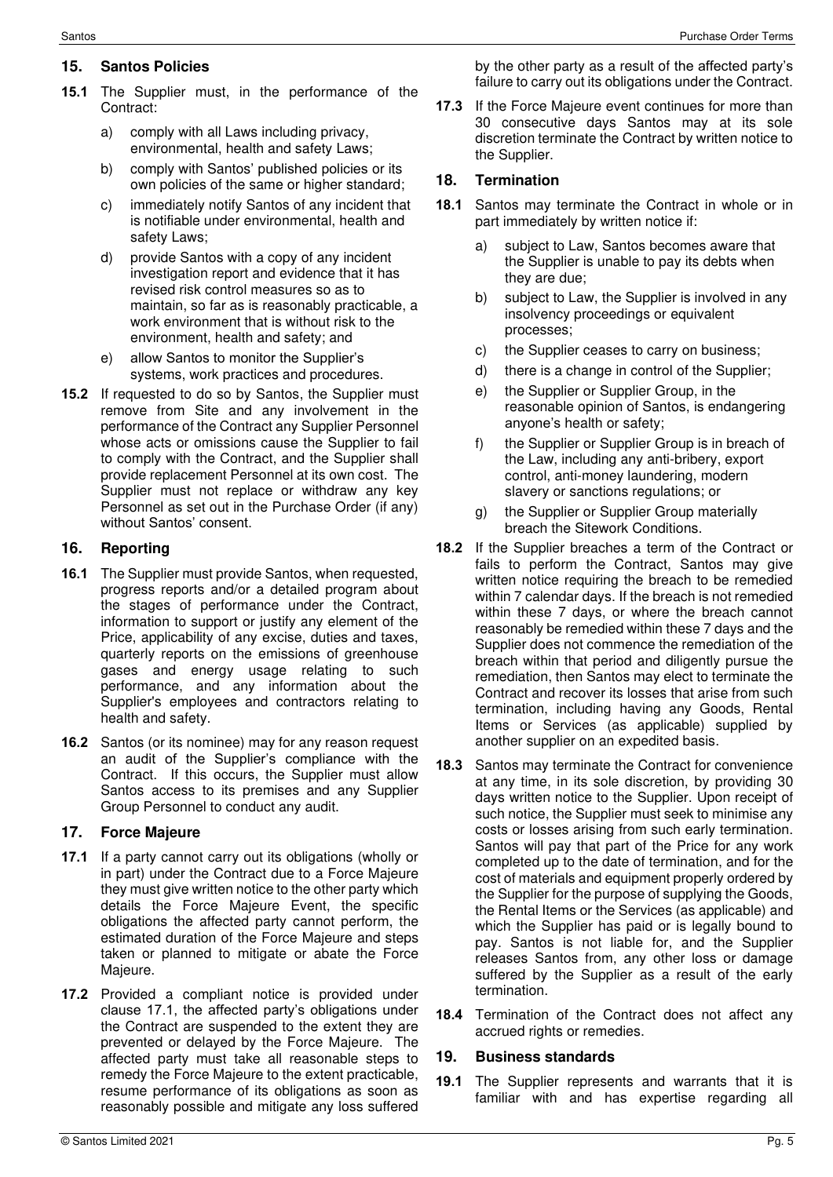### **15. Santos Policies**

- **15.1** The Supplier must, in the performance of the Contract:
	- a) comply with all Laws including privacy, environmental, health and safety Laws;
	- b) comply with Santos' published policies or its own policies of the same or higher standard;
	- c) immediately notify Santos of any incident that is notifiable under environmental, health and safety Laws;
	- d) provide Santos with a copy of any incident investigation report and evidence that it has revised risk control measures so as to maintain, so far as is reasonably practicable, a work environment that is without risk to the environment, health and safety; and
	- e) allow Santos to monitor the Supplier's systems, work practices and procedures.
- **15.2** If requested to do so by Santos, the Supplier must remove from Site and any involvement in the performance of the Contract any Supplier Personnel whose acts or omissions cause the Supplier to fail to comply with the Contract, and the Supplier shall provide replacement Personnel at its own cost. The Supplier must not replace or withdraw any key Personnel as set out in the Purchase Order (if any) without Santos' consent.

#### **16. Reporting**

- **16.1** The Supplier must provide Santos, when requested, progress reports and/or a detailed program about the stages of performance under the Contract, information to support or justify any element of the Price, applicability of any excise, duties and taxes, quarterly reports on the emissions of greenhouse gases and energy usage relating to such performance, and any information about the Supplier's employees and contractors relating to health and safety.
- **16.2** Santos (or its nominee) may for any reason request an audit of the Supplier's compliance with the Contract. If this occurs, the Supplier must allow Santos access to its premises and any Supplier Group Personnel to conduct any audit.

#### **17. Force Majeure**

- **17.1** If a party cannot carry out its obligations (wholly or in part) under the Contract due to a Force Majeure they must give written notice to the other party which details the Force Majeure Event, the specific obligations the affected party cannot perform, the estimated duration of the Force Majeure and steps taken or planned to mitigate or abate the Force Majeure.
- **17.2** Provided a compliant notice is provided under clause 17.1, the affected party's obligations under the Contract are suspended to the extent they are prevented or delayed by the Force Majeure. The affected party must take all reasonable steps to remedy the Force Majeure to the extent practicable, resume performance of its obligations as soon as reasonably possible and mitigate any loss suffered

by the other party as a result of the affected party's failure to carry out its obligations under the Contract.

**17.3** If the Force Majeure event continues for more than 30 consecutive days Santos may at its sole discretion terminate the Contract by written notice to the Supplier.

### **18. Termination**

- **18.1** Santos may terminate the Contract in whole or in part immediately by written notice if:
	- a) subject to Law, Santos becomes aware that the Supplier is unable to pay its debts when they are due;
	- b) subject to Law, the Supplier is involved in any insolvency proceedings or equivalent processes;
	- c) the Supplier ceases to carry on business;
	- d) there is a change in control of the Supplier;
	- e) the Supplier or Supplier Group, in the reasonable opinion of Santos, is endangering anyone's health or safety;
	- f) the Supplier or Supplier Group is in breach of the Law, including any anti-bribery, export control, anti-money laundering, modern slavery or sanctions regulations; or
	- g) the Supplier or Supplier Group materially breach the Sitework Conditions.
- **18.2** If the Supplier breaches a term of the Contract or fails to perform the Contract, Santos may give written notice requiring the breach to be remedied within 7 calendar days. If the breach is not remedied within these 7 days, or where the breach cannot reasonably be remedied within these 7 days and the Supplier does not commence the remediation of the breach within that period and diligently pursue the remediation, then Santos may elect to terminate the Contract and recover its losses that arise from such termination, including having any Goods, Rental Items or Services (as applicable) supplied by another supplier on an expedited basis.
- **18.3** Santos may terminate the Contract for convenience at any time, in its sole discretion, by providing 30 days written notice to the Supplier. Upon receipt of such notice, the Supplier must seek to minimise any costs or losses arising from such early termination. Santos will pay that part of the Price for any work completed up to the date of termination, and for the cost of materials and equipment properly ordered by the Supplier for the purpose of supplying the Goods, the Rental Items or the Services (as applicable) and which the Supplier has paid or is legally bound to pay. Santos is not liable for, and the Supplier releases Santos from, any other loss or damage suffered by the Supplier as a result of the early termination.
- **18.4** Termination of the Contract does not affect any accrued rights or remedies.

#### **19. Business standards**

**19.1** The Supplier represents and warrants that it is familiar with and has expertise regarding all